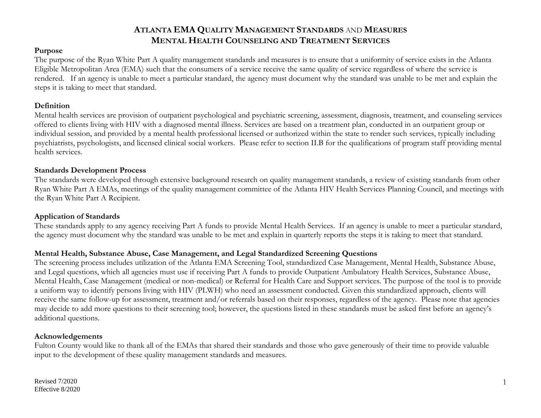#### **Purpose**

The purpose of the Ryan White Part A quality management standards and measures is to ensure that a uniformity of service exists in the Atlanta Eligible Metropolitan Area (EMA) such that the consumers of a service receive the same quality of service regardless of where the service is rendered. If an agency is unable to meet a particular standard, the agency must document why the standard was unable to be met and explain the steps it is taking to meet that standard.

#### **Definition**

Mental health services are provision of outpatient psychological and psychiatric screening, assessment, diagnosis, treatment, and counseling services offered to clients living with HIV with a diagnosed mental illness. Services are based on a treatment plan, conducted in an outpatient group or individual session, and provided by a mental health professional licensed or authorized within the state to render such services, typically including psychiatrists, psychologists, and licensed clinical social workers. Please refer to section II.B for the qualifications of program staff providing mental health services.

#### **Standards Development Process**

The standards were developed through extensive background research on quality management standards, a review of existing standards from other Ryan White Part A EMAs, meetings of the quality management committee of the Atlanta HIV Health Services Planning Council, and meetings with the Ryan White Part A Recipient.

#### **Application of Standards**

These standards apply to any agency receiving Part A funds to provide Mental Health Services. If an agency is unable to meet a particular standard, the agency must document why the standard was unable to be met and explain in quarterly reports the steps it is taking to meet that standard.

#### **Mental Health, Substance Abuse, Case Management, and Legal Standardized Screening Questions**

The screening process includes utilization of the Atlanta EMA Screening Tool, standardized Case Management, Mental Health, Substance Abuse, and Legal questions, which all agencies must use if receiving Part A funds to provide Outpatient Ambulatory Health Services, Substance Abuse, Mental Health, Case Management (medical or non-medical) or Referral for Health Care and Support services. The purpose of the tool is to provide a uniform way to identify persons living with HIV (PLWH) who need an assessment conducted. Given this standardized approach, clients will receive the same follow-up for assessment, treatment and/or referrals based on their responses, regardless of the agency. Please note that agencies may decide to add more questions to their screening tool; however, the questions listed in these standards must be asked first before an agency's additional questions.

#### **Acknowledgements**

Fulton County would like to thank all of the EMAs that shared their standards and those who gave generously of their time to provide valuable input to the development of these quality management standards and measures.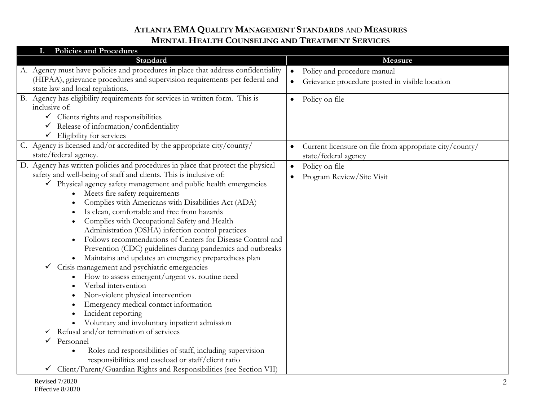| <b>Policies and Procedures</b>                                                    |                                                         |
|-----------------------------------------------------------------------------------|---------------------------------------------------------|
| Standard                                                                          | Measure                                                 |
| A. Agency must have policies and procedures in place that address confidentiality | Policy and procedure manual<br>$\bullet$                |
| (HIPAA), grievance procedures and supervision requirements per federal and        | Grievance procedure posted in visible location          |
| state law and local regulations.                                                  |                                                         |
| B. Agency has eligibility requirements for services in written form. This is      | Policy on file<br>$\bullet$                             |
| inclusive of:                                                                     |                                                         |
| $\checkmark$ Clients rights and responsibilities                                  |                                                         |
| Release of information/confidentiality                                            |                                                         |
| Eligibility for services                                                          |                                                         |
| C. Agency is licensed and/or accredited by the appropriate city/county/           | Current licensure on file from appropriate city/county/ |
| state/federal agency.                                                             | state/federal agency                                    |
| D. Agency has written policies and procedures in place that protect the physical  | Policy on file<br>$\bullet$                             |
| safety and well-being of staff and clients. This is inclusive of:                 | Program Review/Site Visit                               |
| √ Physical agency safety management and public health emergencies                 |                                                         |
| Meets fire safety requirements                                                    |                                                         |
| Complies with Americans with Disabilities Act (ADA)                               |                                                         |
| Is clean, comfortable and free from hazards                                       |                                                         |
| Complies with Occupational Safety and Health                                      |                                                         |
| Administration (OSHA) infection control practices                                 |                                                         |
| Follows recommendations of Centers for Disease Control and                        |                                                         |
| Prevention (CDC) guidelines during pandemics and outbreaks                        |                                                         |
| Maintains and updates an emergency preparedness plan                              |                                                         |
| Crisis management and psychiatric emergencies<br>✓                                |                                                         |
| How to assess emergent/urgent vs. routine need                                    |                                                         |
| Verbal intervention                                                               |                                                         |
| Non-violent physical intervention                                                 |                                                         |
| Emergency medical contact information                                             |                                                         |
| Incident reporting                                                                |                                                         |
| Voluntary and involuntary inpatient admission                                     |                                                         |
| Refusal and/or termination of services<br>✓                                       |                                                         |
| Personnel<br>✓                                                                    |                                                         |
| Roles and responsibilities of staff, including supervision                        |                                                         |
| responsibilities and caseload or staff/client ratio                               |                                                         |
| Client/Parent/Guardian Rights and Responsibilities (see Section VII)              |                                                         |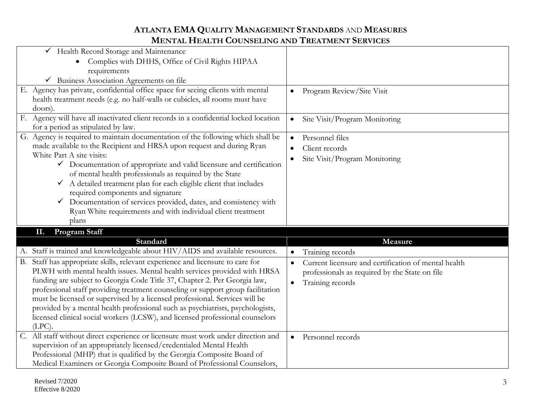| Gealth Record Storage and Maintenance                                                                                                              |                                                                   |
|----------------------------------------------------------------------------------------------------------------------------------------------------|-------------------------------------------------------------------|
| Complies with DHHS, Office of Civil Rights HIPAA                                                                                                   |                                                                   |
| requirements                                                                                                                                       |                                                                   |
| $\checkmark$ Business Association Agreements on file                                                                                               |                                                                   |
| E. Agency has private, confidential office space for seeing clients with mental                                                                    | Program Review/Site Visit<br>$\bullet$                            |
| health treatment needs (e.g. no half-walls or cubicles, all rooms must have                                                                        |                                                                   |
| doors)                                                                                                                                             |                                                                   |
| F. Agency will have all inactivated client records in a confidential locked location                                                               | Site Visit/Program Monitoring<br>$\bullet$                        |
| for a period as stipulated by law.                                                                                                                 |                                                                   |
| G. Agency is required to maintain documentation of the following which shall be                                                                    | Personnel files                                                   |
| made available to the Recipient and HRSA upon request and during Ryan                                                                              | Client records<br>$\bullet$                                       |
| White Part A site visits:                                                                                                                          | Site Visit/Program Monitoring                                     |
| $\checkmark$ Documentation of appropriate and valid licensure and certification                                                                    |                                                                   |
| of mental health professionals as required by the State                                                                                            |                                                                   |
| $\checkmark$ A detailed treatment plan for each eligible client that includes                                                                      |                                                                   |
| required components and signature                                                                                                                  |                                                                   |
| $\checkmark$ Documentation of services provided, dates, and consistency with                                                                       |                                                                   |
|                                                                                                                                                    |                                                                   |
| Ryan White requirements and with individual client treatment                                                                                       |                                                                   |
| plans                                                                                                                                              |                                                                   |
| Program Staff<br>П.                                                                                                                                |                                                                   |
| Standard                                                                                                                                           | Measure                                                           |
| A. Staff is trained and knowledgeable about HIV/AIDS and available resources.                                                                      | Training records<br>$\bullet$                                     |
| B. Staff has appropriate skills, relevant experience and licensure to care for                                                                     | Current licensure and certification of mental health<br>$\bullet$ |
| PLWH with mental health issues. Mental health services provided with HRSA                                                                          |                                                                   |
| funding are subject to Georgia Code Title 37, Chapter 2. Per Georgia law,                                                                          | professionals as required by the State on file<br>$\bullet$       |
| professional staff providing treatment counseling or support group facilitation                                                                    | Training records                                                  |
| must be licensed or supervised by a licensed professional. Services will be                                                                        |                                                                   |
| provided by a mental health professional such as psychiatrists, psychologists,                                                                     |                                                                   |
| licensed clinical social workers (LCSW), and licensed professional counselors                                                                      |                                                                   |
| $(LPC)$ .                                                                                                                                          |                                                                   |
| C. All staff without direct experience or licensure must work under direction and                                                                  | Personnel records<br>$\bullet$                                    |
| supervision of an appropriately licensed/credentialed Mental Health                                                                                |                                                                   |
| Professional (MHP) that is qualified by the Georgia Composite Board of<br>Medical Examiners or Georgia Composite Board of Professional Counselors, |                                                                   |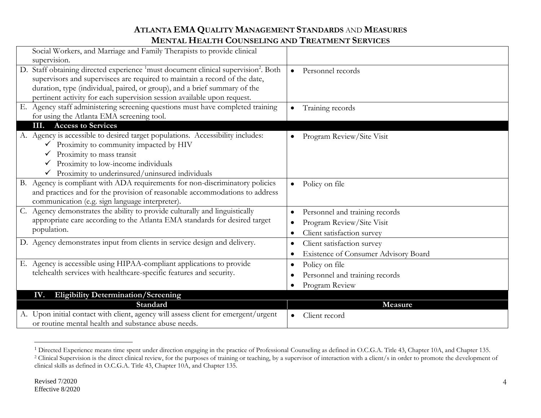| Social Workers, and Marriage and Family Therapists to provide clinical                                     |                                             |
|------------------------------------------------------------------------------------------------------------|---------------------------------------------|
| supervision.                                                                                               |                                             |
| D. Staff obtaining directed experience <sup>1</sup> must document clinical supervision <sup>2</sup> . Both | Personnel records<br>$\bullet$              |
| supervisors and supervisees are required to maintain a record of the date,                                 |                                             |
| duration, type (individual, paired, or group), and a brief summary of the                                  |                                             |
| pertinent activity for each supervision session available upon request.                                    |                                             |
| E. Agency staff administering screening questions must have completed training                             | Training records<br>$\bullet$               |
| for using the Atlanta EMA screening tool.                                                                  |                                             |
| <b>Access to Services</b><br>Ш.                                                                            |                                             |
| A. Agency is accessible to desired target populations. Accessibility includes:                             | Program Review/Site Visit                   |
| Proximity to community impacted by HIV                                                                     |                                             |
| Proximity to mass transit                                                                                  |                                             |
| Proximity to low-income individuals                                                                        |                                             |
| Proximity to underinsured/uninsured individuals                                                            |                                             |
| B. Agency is compliant with ADA requirements for non-discriminatory policies                               | Policy on file<br>$\bullet$                 |
| and practices and for the provision of reasonable accommodations to address                                |                                             |
| communication (e.g. sign language interpreter).                                                            |                                             |
| Agency demonstrates the ability to provide culturally and linguistically<br>$C_{\cdot}$                    | Personnel and training records<br>$\bullet$ |
| appropriate care according to the Atlanta EMA standards for desired target                                 | Program Review/Site Visit                   |
| population.                                                                                                | Client satisfaction survey<br>$\bullet$     |
| D. Agency demonstrates input from clients in service design and delivery.                                  | Client satisfaction survey                  |
|                                                                                                            | $\bullet$                                   |
|                                                                                                            | <b>Existence of Consumer Advisory Board</b> |
| E. Agency is accessible using HIPAA-compliant applications to provide                                      | Policy on file                              |
| telehealth services with healthcare-specific features and security.                                        | Personnel and training records              |
|                                                                                                            | Program Review                              |
| <b>Eligibility Determination/Screening</b><br>IV.                                                          |                                             |
| Standard                                                                                                   | Measure                                     |
| A. Upon initial contact with client, agency will assess client for emergent/urgent                         | Client record<br>$\bullet$                  |
| or routine mental health and substance abuse needs.                                                        |                                             |

 $\overline{a}$ 

<sup>&</sup>lt;sup>1</sup> Directed Experience means time spent under direction engaging in the practice of Professional Counseling as defined in O.C.G.A. Title 43, Chapter 10A, and Chapter 135. <sup>2</sup> Clinical Supervision is the direct clinical review, for the purposes of training or teaching, by a supervisor of interaction with a client/s in order to promote the development of clinical skills as defined in O.C.G.A. Title 43, Chapter 10A, and Chapter 135.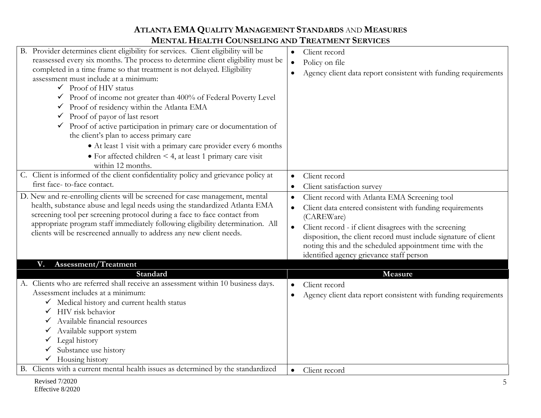| B. Provider determines client eligibility for services. Client eligibility will be<br>reassessed every six months. The process to determine client eligibility must be<br>completed in a time frame so that treatment is not delayed. Eligibility<br>assessment must include at a minimum:<br>$\checkmark$ Proof of HIV status<br>$\checkmark$ Proof of income not greater than 400% of Federal Poverty Level<br>Proof of residency within the Atlanta EMA<br>Proof of payor of last resort<br>✓<br>$\checkmark$ Proof of active participation in primary care or documentation of<br>the client's plan to access primary care<br>• At least 1 visit with a primary care provider every 6 months<br>$\bullet$ For affected children < 4, at least 1 primary care visit<br>within 12 months. | Client record<br>Policy on file<br>$\bullet$<br>Agency client data report consistent with funding requirements                                                                                                                                                                                                                                                                        |
|---------------------------------------------------------------------------------------------------------------------------------------------------------------------------------------------------------------------------------------------------------------------------------------------------------------------------------------------------------------------------------------------------------------------------------------------------------------------------------------------------------------------------------------------------------------------------------------------------------------------------------------------------------------------------------------------------------------------------------------------------------------------------------------------|---------------------------------------------------------------------------------------------------------------------------------------------------------------------------------------------------------------------------------------------------------------------------------------------------------------------------------------------------------------------------------------|
| C. Client is informed of the client confidentiality policy and grievance policy at<br>first face-to-face contact.                                                                                                                                                                                                                                                                                                                                                                                                                                                                                                                                                                                                                                                                           | Client record<br>$\bullet$<br>Client satisfaction survey                                                                                                                                                                                                                                                                                                                              |
| D. New and re-enrolling clients will be screened for case management, mental<br>health, substance abuse and legal needs using the standardized Atlanta EMA<br>screening tool per screening protocol during a face to face contact from<br>appropriate program staff immediately following eligibility determination. All<br>clients will be rescreened annually to address any new client needs.                                                                                                                                                                                                                                                                                                                                                                                            | Client record with Atlanta EMA Screening tool<br>Client data entered consistent with funding requirements<br>$\bullet$<br>(CAREWare)<br>Client record - if client disagrees with the screening<br>$\bullet$<br>disposition, the client record must include signature of client<br>noting this and the scheduled appointment time with the<br>identified agency grievance staff person |
| Assessment/Treatment<br>V.                                                                                                                                                                                                                                                                                                                                                                                                                                                                                                                                                                                                                                                                                                                                                                  |                                                                                                                                                                                                                                                                                                                                                                                       |
| Standard<br>A. Clients who are referred shall receive an assessment within 10 business days.<br>Assessment includes at a minimum:<br>V Medical history and current health status<br>HIV risk behavior<br>$\checkmark$<br>Available financial resources<br>Available support system<br>Legal history<br>Substance use history<br>Housing history                                                                                                                                                                                                                                                                                                                                                                                                                                             | Measure<br>Client record<br>Agency client data report consistent with funding requirements                                                                                                                                                                                                                                                                                            |
| B. Clients with a current mental health issues as determined by the standardized                                                                                                                                                                                                                                                                                                                                                                                                                                                                                                                                                                                                                                                                                                            | Client record<br>$\bullet$                                                                                                                                                                                                                                                                                                                                                            |
| Revised 7/2020                                                                                                                                                                                                                                                                                                                                                                                                                                                                                                                                                                                                                                                                                                                                                                              |                                                                                                                                                                                                                                                                                                                                                                                       |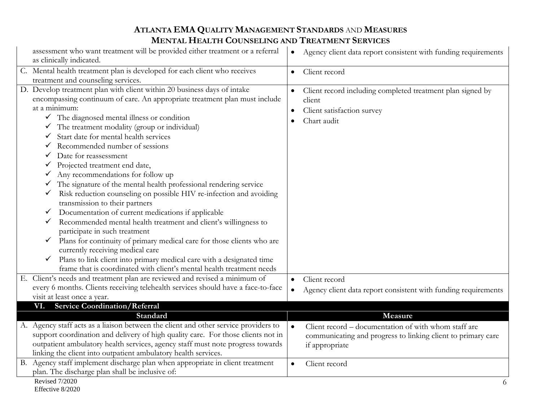| assessment who want treatment will be provided either treatment or a referral<br>as clinically indicated.                                                                                                                                                                                                                                                                                                                                                                                                                                                                                                                                                                                                                                                                                                                                                                                                                                                                                                                                                                                                                                                                                         | Agency client data report consistent with funding requirements<br>$\bullet$                                                                                    |
|---------------------------------------------------------------------------------------------------------------------------------------------------------------------------------------------------------------------------------------------------------------------------------------------------------------------------------------------------------------------------------------------------------------------------------------------------------------------------------------------------------------------------------------------------------------------------------------------------------------------------------------------------------------------------------------------------------------------------------------------------------------------------------------------------------------------------------------------------------------------------------------------------------------------------------------------------------------------------------------------------------------------------------------------------------------------------------------------------------------------------------------------------------------------------------------------------|----------------------------------------------------------------------------------------------------------------------------------------------------------------|
| C. Mental health treatment plan is developed for each client who receives<br>treatment and counseling services.                                                                                                                                                                                                                                                                                                                                                                                                                                                                                                                                                                                                                                                                                                                                                                                                                                                                                                                                                                                                                                                                                   | Client record<br>$\bullet$                                                                                                                                     |
| D. Develop treatment plan with client within 20 business days of intake<br>encompassing continuum of care. An appropriate treatment plan must include<br>at a minimum:<br>$\checkmark$ The diagnosed mental illness or condition<br>The treatment modality (group or individual)<br>Start date for mental health services<br>✔<br>Recommended number of sessions<br>$\checkmark$<br>Date for reassessment<br>✓<br>Projected treatment end date,<br>$\checkmark$<br>Any recommendations for follow up<br>$\checkmark$<br>The signature of the mental health professional rendering service<br>Risk reduction counseling on possible HIV re-infection and avoiding<br>$\checkmark$<br>transmission to their partners<br>Documentation of current medications if applicable<br>✔<br>Recommended mental health treatment and client's willingness to<br>$\checkmark$<br>participate in such treatment<br>Plans for continuity of primary medical care for those clients who are<br>$\checkmark$<br>currently receiving medical care<br>Plans to link client into primary medical care with a designated time<br>$\checkmark$<br>frame that is coordinated with client's mental health treatment needs | Client record including completed treatment plan signed by<br>$\bullet$<br>client<br>Client satisfaction survey<br>Chart audit                                 |
| E. Client's needs and treatment plan are reviewed and revised a minimum of<br>every 6 months. Clients receiving telehealth services should have a face-to-face                                                                                                                                                                                                                                                                                                                                                                                                                                                                                                                                                                                                                                                                                                                                                                                                                                                                                                                                                                                                                                    | Client record<br>$\bullet$<br>Agency client data report consistent with funding requirements<br>$\bullet$                                                      |
| visit at least once a year.                                                                                                                                                                                                                                                                                                                                                                                                                                                                                                                                                                                                                                                                                                                                                                                                                                                                                                                                                                                                                                                                                                                                                                       |                                                                                                                                                                |
| <b>Service Coordination/Referral</b><br>VI.                                                                                                                                                                                                                                                                                                                                                                                                                                                                                                                                                                                                                                                                                                                                                                                                                                                                                                                                                                                                                                                                                                                                                       |                                                                                                                                                                |
| Standard<br>A. Agency staff acts as a liaison between the client and other service providers to<br>support coordination and delivery of high quality care. For those clients not in<br>outpatient ambulatory health services, agency staff must note progress towards<br>linking the client into outpatient ambulatory health services.                                                                                                                                                                                                                                                                                                                                                                                                                                                                                                                                                                                                                                                                                                                                                                                                                                                           | Measure<br>Client record – documentation of with whom staff are<br>$\bullet$<br>communicating and progress to linking client to primary care<br>if appropriate |
| Agency staff implement discharge plan when appropriate in client treatment<br><b>B.</b>                                                                                                                                                                                                                                                                                                                                                                                                                                                                                                                                                                                                                                                                                                                                                                                                                                                                                                                                                                                                                                                                                                           | Client record<br>$\bullet$                                                                                                                                     |
| plan. The discharge plan shall be inclusive of:                                                                                                                                                                                                                                                                                                                                                                                                                                                                                                                                                                                                                                                                                                                                                                                                                                                                                                                                                                                                                                                                                                                                                   |                                                                                                                                                                |
| <b>Revised 7/2020</b><br>Effective 8/2020                                                                                                                                                                                                                                                                                                                                                                                                                                                                                                                                                                                                                                                                                                                                                                                                                                                                                                                                                                                                                                                                                                                                                         | 6                                                                                                                                                              |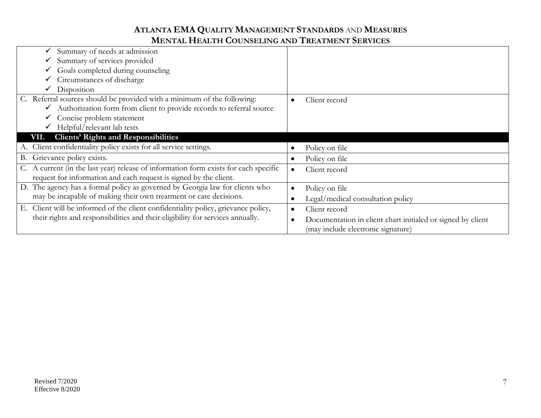| Summary of needs at admission                                                         |                                                             |
|---------------------------------------------------------------------------------------|-------------------------------------------------------------|
| Summary of services provided                                                          |                                                             |
| Goals completed during counseling                                                     |                                                             |
| Circumstances of discharge                                                            |                                                             |
| $\checkmark$ Disposition                                                              |                                                             |
| C. Referral sources should be provided with a minimum of the following:               | Client record                                               |
| Authorization form from client to provide records to referral source                  |                                                             |
| Concise problem statement                                                             |                                                             |
| Helpful/relevant lab tests                                                            |                                                             |
| VII. Clients' Rights and Responsibilities                                             |                                                             |
| Client confidentiality policy exists for all service settings.                        | Policy on file                                              |
| Grievance policy exists.<br>В.                                                        | Policy on file                                              |
| C. A current (in the last year) release of information form exists for each specific  | Client record                                               |
| request for information and each request is signed by the client.                     |                                                             |
| D. The agency has a formal policy as governed by Georgia law for clients who          | Policy on file<br>$\bullet$                                 |
| may be incapable of making their own treatment or care decisions.                     | Legal/medical consultation policy                           |
| Client will be informed of the client confidentiality policy, grievance policy,<br>Е. | Client record<br>$\bullet$                                  |
| their rights and responsibilities and their eligibility for services annually.        | Documentation in client chart initialed or signed by client |
|                                                                                       | (may include electronic signature)                          |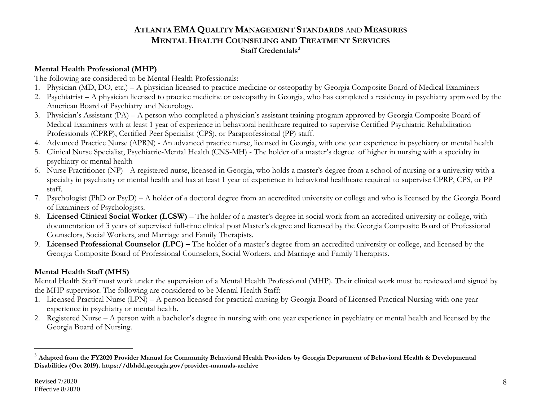### **Mental Health Professional (MHP)**

The following are considered to be Mental Health Professionals:

- 1. Physician (MD, DO, etc.) A physician licensed to practice medicine or osteopathy by Georgia Composite Board of Medical Examiners
- 2. Psychiatrist A physician licensed to practice medicine or osteopathy in Georgia, who has completed a residency in psychiatry approved by the American Board of Psychiatry and Neurology.
- 3. Physician's Assistant (PA) A person who completed a physician's assistant training program approved by Georgia Composite Board of Medical Examiners with at least 1 year of experience in behavioral healthcare required to supervise Certified Psychiatric Rehabilitation Professionals (CPRP), Certified Peer Specialist (CPS), or Paraprofessional (PP) staff.
- 4. Advanced Practice Nurse (APRN) An advanced practice nurse, licensed in Georgia, with one year experience in psychiatry or mental health
- 5. Clinical Nurse Specialist, Psychiatric-Mental Health (CNS-MH) The holder of a master's degree of higher in nursing with a specialty in psychiatry or mental health
- 6. Nurse Practitioner (NP) A registered nurse, licensed in Georgia, who holds a master's degree from a school of nursing or a university with a specialty in psychiatry or mental health and has at least 1 year of experience in behavioral healthcare required to supervise CPRP, CPS, or PP staff.
- 7. Psychologist (PhD or PsyD) A holder of a doctoral degree from an accredited university or college and who is licensed by the Georgia Board of Examiners of Psychologists.
- 8. **Licensed Clinical Social Worker (LCSW)** The holder of a master's degree in social work from an accredited university or college, with documentation of 3 years of supervised full-time clinical post Master's degree and licensed by the Georgia Composite Board of Professional Counselors, Social Workers, and Marriage and Family Therapists.
- 9. **Licensed Professional Counselor (LPC) –** The holder of a master's degree from an accredited university or college, and licensed by the Georgia Composite Board of Professional Counselors, Social Workers, and Marriage and Family Therapists.

## **Mental Health Staff (MHS)**

Mental Health Staff must work under the supervision of a Mental Health Professional (MHP). Their clinical work must be reviewed and signed by the MHP supervisor. The following are considered to be Mental Health Staff:

- 1. Licensed Practical Nurse (LPN) A person licensed for practical nursing by Georgia Board of Licensed Practical Nursing with one year experience in psychiatry or mental health.
- 2. Registered Nurse A person with a bachelor's degree in nursing with one year experience in psychiatry or mental health and licensed by the Georgia Board of Nursing.

 $\overline{a}$ 

<sup>&</sup>lt;sup>3</sup> Adapted from the FY2020 Provider Manual for Community Behavioral Health Providers by Georgia Department of Behavioral Health & Developmental **Disabilities (Oct 2019). https://dbhdd.georgia.gov/provider-manuals-archive**